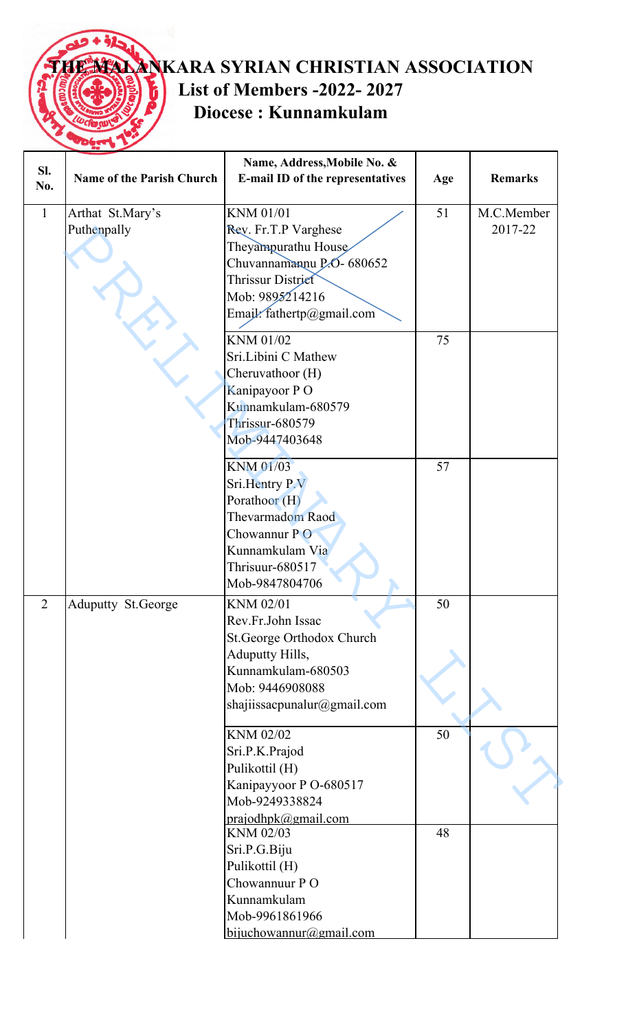## **THE MALANKARA SYRIAN CHRISTIAN ASSOCIATION List of Members -2022- 2027** ĥ **Diocese : Kunnamkulam**

| SI.<br>No.     | <b>Name of the Parish Church</b> | Name, Address, Mobile No. &<br>E-mail ID of the representatives                                                                                             | Age | <b>Remarks</b>        |
|----------------|----------------------------------|-------------------------------------------------------------------------------------------------------------------------------------------------------------|-----|-----------------------|
| $\mathbf{1}$   | Arthat St.Mary's<br>Puthenpally  | KNM 01/01<br>Rev. Fr.T.P Varghese<br>Theyampurathu House<br>Chuvannamannu P.O - 680652<br>Thrissur District<br>Mob: 9895214216<br>Email: fathertp@gmail.com | 51  | M.C.Member<br>2017-22 |
|                |                                  | KNM 01/02<br>Sri.Libini C Mathew<br>Cheruvathoor (H)<br>Kanipayoor PO<br>Kunnamkulam-680579<br><b>Thrissur-680579</b><br>Mob-9447403648                     | 75  |                       |
|                |                                  | <b>KNM 01/03</b><br>Sri.Hentry P.V<br>Porathoor (H)<br>Thevarmadom Raod<br>Chowannur PO<br>Kunnamkulam Via<br>Thrisuur-680517<br>Mob-9847804706             | 57  |                       |
| $\overline{2}$ | <b>Aduputty St.George</b>        | KNM 02/01<br>Rev.Fr.John Issac<br>St.George Orthodox Church<br>Aduputty Hills,<br>Kunnamkulam-680503<br>Mob: 9446908088<br>shajiissacpunalur@gmail.com      | 50  |                       |
|                |                                  | KNM 02/02<br>Sri.P.K.Prajod<br>Pulikottil (H)<br>Kanipayyoor P O-680517<br>Mob-9249338824<br>prajodhpk@gmail.com                                            | 50  |                       |
|                |                                  | KNM 02/03<br>Sri.P.G.Biju<br>Pulikottil (H)<br>Chowannuur PO<br>Kunnamkulam<br>Mob-9961861966<br>$b$ ijuchowannur@gmail.com                                 | 48  |                       |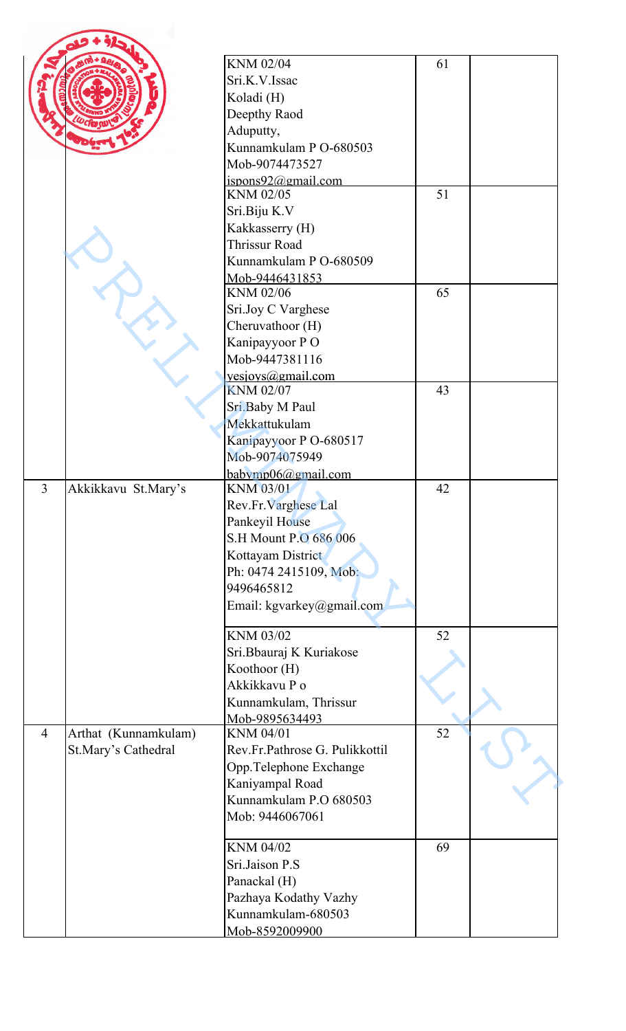| KNM 02/04<br>61<br>Sri.K.V.Issac<br>Koladi (H)<br>Deepthy Raod<br>Aduputty,<br>Kunnamkulam P O-680503<br>Mob-9074473527<br>ispons $92@$ gmail.com<br>51<br>KNM 02/05<br>Sri.Biju K.V<br>Kakkasserry (H)<br><b>Thrissur Road</b><br>Kunnamkulam P O-680509<br>Mob-9446431853<br>KNM 02/06<br>65<br>Sri.Joy C Varghese<br>Cheruvathoor (H)<br>Kanipayyoor PO<br>Mob-9447381116<br>yesjovs@gmail.com<br><b>KNM 02/07</b><br>43<br>Sri.Baby M Paul<br>Mekkattukulam<br>Kanipayyoor P O-680517<br>Mob-9074075949<br>$b$ abymp $06$ @gmail.com<br>$\overline{3}$<br>Akkikkavu St.Mary's<br>KNM 03/01<br>42<br>Rev.Fr.Varghese Lal<br>Pankeyil House<br>S.H Mount P.O 686 006<br>Kottayam District<br>Ph: 0474 2415109, Mob:<br>9496465812<br>Email: kgvarkey@gmail.com<br>KNM 03/02<br>52<br>Sri.Bbauraj K Kuriakose<br>Koothoor (H)<br>Akkikkavu P o<br>Kunnamkulam, Thrissur<br>Mob-9895634493<br>52<br>$\overline{4}$<br>Arthat (Kunnamkulam)<br>KNM 04/01<br>Rev.Fr.Pathrose G. Pulikkottil<br>St.Mary's Cathedral<br>Opp.Telephone Exchange<br>Kaniyampal Road<br>Kunnamkulam P.O 680503<br>Mob: 9446067061<br>KNM 04/02<br>69<br>Sri.Jaison P.S<br>Panackal (H)<br>Pazhaya Kodathy Vazhy<br>Kunnamkulam-680503 |  |                |  |
|----------------------------------------------------------------------------------------------------------------------------------------------------------------------------------------------------------------------------------------------------------------------------------------------------------------------------------------------------------------------------------------------------------------------------------------------------------------------------------------------------------------------------------------------------------------------------------------------------------------------------------------------------------------------------------------------------------------------------------------------------------------------------------------------------------------------------------------------------------------------------------------------------------------------------------------------------------------------------------------------------------------------------------------------------------------------------------------------------------------------------------------------------------------------------------------------------------------|--|----------------|--|
|                                                                                                                                                                                                                                                                                                                                                                                                                                                                                                                                                                                                                                                                                                                                                                                                                                                                                                                                                                                                                                                                                                                                                                                                                |  |                |  |
|                                                                                                                                                                                                                                                                                                                                                                                                                                                                                                                                                                                                                                                                                                                                                                                                                                                                                                                                                                                                                                                                                                                                                                                                                |  |                |  |
|                                                                                                                                                                                                                                                                                                                                                                                                                                                                                                                                                                                                                                                                                                                                                                                                                                                                                                                                                                                                                                                                                                                                                                                                                |  |                |  |
|                                                                                                                                                                                                                                                                                                                                                                                                                                                                                                                                                                                                                                                                                                                                                                                                                                                                                                                                                                                                                                                                                                                                                                                                                |  |                |  |
|                                                                                                                                                                                                                                                                                                                                                                                                                                                                                                                                                                                                                                                                                                                                                                                                                                                                                                                                                                                                                                                                                                                                                                                                                |  |                |  |
|                                                                                                                                                                                                                                                                                                                                                                                                                                                                                                                                                                                                                                                                                                                                                                                                                                                                                                                                                                                                                                                                                                                                                                                                                |  |                |  |
|                                                                                                                                                                                                                                                                                                                                                                                                                                                                                                                                                                                                                                                                                                                                                                                                                                                                                                                                                                                                                                                                                                                                                                                                                |  |                |  |
|                                                                                                                                                                                                                                                                                                                                                                                                                                                                                                                                                                                                                                                                                                                                                                                                                                                                                                                                                                                                                                                                                                                                                                                                                |  |                |  |
|                                                                                                                                                                                                                                                                                                                                                                                                                                                                                                                                                                                                                                                                                                                                                                                                                                                                                                                                                                                                                                                                                                                                                                                                                |  |                |  |
|                                                                                                                                                                                                                                                                                                                                                                                                                                                                                                                                                                                                                                                                                                                                                                                                                                                                                                                                                                                                                                                                                                                                                                                                                |  |                |  |
|                                                                                                                                                                                                                                                                                                                                                                                                                                                                                                                                                                                                                                                                                                                                                                                                                                                                                                                                                                                                                                                                                                                                                                                                                |  |                |  |
|                                                                                                                                                                                                                                                                                                                                                                                                                                                                                                                                                                                                                                                                                                                                                                                                                                                                                                                                                                                                                                                                                                                                                                                                                |  |                |  |
|                                                                                                                                                                                                                                                                                                                                                                                                                                                                                                                                                                                                                                                                                                                                                                                                                                                                                                                                                                                                                                                                                                                                                                                                                |  |                |  |
|                                                                                                                                                                                                                                                                                                                                                                                                                                                                                                                                                                                                                                                                                                                                                                                                                                                                                                                                                                                                                                                                                                                                                                                                                |  |                |  |
|                                                                                                                                                                                                                                                                                                                                                                                                                                                                                                                                                                                                                                                                                                                                                                                                                                                                                                                                                                                                                                                                                                                                                                                                                |  |                |  |
|                                                                                                                                                                                                                                                                                                                                                                                                                                                                                                                                                                                                                                                                                                                                                                                                                                                                                                                                                                                                                                                                                                                                                                                                                |  |                |  |
|                                                                                                                                                                                                                                                                                                                                                                                                                                                                                                                                                                                                                                                                                                                                                                                                                                                                                                                                                                                                                                                                                                                                                                                                                |  |                |  |
|                                                                                                                                                                                                                                                                                                                                                                                                                                                                                                                                                                                                                                                                                                                                                                                                                                                                                                                                                                                                                                                                                                                                                                                                                |  |                |  |
|                                                                                                                                                                                                                                                                                                                                                                                                                                                                                                                                                                                                                                                                                                                                                                                                                                                                                                                                                                                                                                                                                                                                                                                                                |  |                |  |
|                                                                                                                                                                                                                                                                                                                                                                                                                                                                                                                                                                                                                                                                                                                                                                                                                                                                                                                                                                                                                                                                                                                                                                                                                |  |                |  |
|                                                                                                                                                                                                                                                                                                                                                                                                                                                                                                                                                                                                                                                                                                                                                                                                                                                                                                                                                                                                                                                                                                                                                                                                                |  |                |  |
|                                                                                                                                                                                                                                                                                                                                                                                                                                                                                                                                                                                                                                                                                                                                                                                                                                                                                                                                                                                                                                                                                                                                                                                                                |  |                |  |
|                                                                                                                                                                                                                                                                                                                                                                                                                                                                                                                                                                                                                                                                                                                                                                                                                                                                                                                                                                                                                                                                                                                                                                                                                |  |                |  |
|                                                                                                                                                                                                                                                                                                                                                                                                                                                                                                                                                                                                                                                                                                                                                                                                                                                                                                                                                                                                                                                                                                                                                                                                                |  |                |  |
|                                                                                                                                                                                                                                                                                                                                                                                                                                                                                                                                                                                                                                                                                                                                                                                                                                                                                                                                                                                                                                                                                                                                                                                                                |  |                |  |
|                                                                                                                                                                                                                                                                                                                                                                                                                                                                                                                                                                                                                                                                                                                                                                                                                                                                                                                                                                                                                                                                                                                                                                                                                |  |                |  |
|                                                                                                                                                                                                                                                                                                                                                                                                                                                                                                                                                                                                                                                                                                                                                                                                                                                                                                                                                                                                                                                                                                                                                                                                                |  |                |  |
|                                                                                                                                                                                                                                                                                                                                                                                                                                                                                                                                                                                                                                                                                                                                                                                                                                                                                                                                                                                                                                                                                                                                                                                                                |  |                |  |
|                                                                                                                                                                                                                                                                                                                                                                                                                                                                                                                                                                                                                                                                                                                                                                                                                                                                                                                                                                                                                                                                                                                                                                                                                |  |                |  |
|                                                                                                                                                                                                                                                                                                                                                                                                                                                                                                                                                                                                                                                                                                                                                                                                                                                                                                                                                                                                                                                                                                                                                                                                                |  |                |  |
|                                                                                                                                                                                                                                                                                                                                                                                                                                                                                                                                                                                                                                                                                                                                                                                                                                                                                                                                                                                                                                                                                                                                                                                                                |  |                |  |
|                                                                                                                                                                                                                                                                                                                                                                                                                                                                                                                                                                                                                                                                                                                                                                                                                                                                                                                                                                                                                                                                                                                                                                                                                |  |                |  |
|                                                                                                                                                                                                                                                                                                                                                                                                                                                                                                                                                                                                                                                                                                                                                                                                                                                                                                                                                                                                                                                                                                                                                                                                                |  |                |  |
|                                                                                                                                                                                                                                                                                                                                                                                                                                                                                                                                                                                                                                                                                                                                                                                                                                                                                                                                                                                                                                                                                                                                                                                                                |  |                |  |
|                                                                                                                                                                                                                                                                                                                                                                                                                                                                                                                                                                                                                                                                                                                                                                                                                                                                                                                                                                                                                                                                                                                                                                                                                |  |                |  |
|                                                                                                                                                                                                                                                                                                                                                                                                                                                                                                                                                                                                                                                                                                                                                                                                                                                                                                                                                                                                                                                                                                                                                                                                                |  |                |  |
|                                                                                                                                                                                                                                                                                                                                                                                                                                                                                                                                                                                                                                                                                                                                                                                                                                                                                                                                                                                                                                                                                                                                                                                                                |  |                |  |
|                                                                                                                                                                                                                                                                                                                                                                                                                                                                                                                                                                                                                                                                                                                                                                                                                                                                                                                                                                                                                                                                                                                                                                                                                |  |                |  |
|                                                                                                                                                                                                                                                                                                                                                                                                                                                                                                                                                                                                                                                                                                                                                                                                                                                                                                                                                                                                                                                                                                                                                                                                                |  |                |  |
|                                                                                                                                                                                                                                                                                                                                                                                                                                                                                                                                                                                                                                                                                                                                                                                                                                                                                                                                                                                                                                                                                                                                                                                                                |  |                |  |
|                                                                                                                                                                                                                                                                                                                                                                                                                                                                                                                                                                                                                                                                                                                                                                                                                                                                                                                                                                                                                                                                                                                                                                                                                |  |                |  |
|                                                                                                                                                                                                                                                                                                                                                                                                                                                                                                                                                                                                                                                                                                                                                                                                                                                                                                                                                                                                                                                                                                                                                                                                                |  |                |  |
|                                                                                                                                                                                                                                                                                                                                                                                                                                                                                                                                                                                                                                                                                                                                                                                                                                                                                                                                                                                                                                                                                                                                                                                                                |  |                |  |
|                                                                                                                                                                                                                                                                                                                                                                                                                                                                                                                                                                                                                                                                                                                                                                                                                                                                                                                                                                                                                                                                                                                                                                                                                |  |                |  |
|                                                                                                                                                                                                                                                                                                                                                                                                                                                                                                                                                                                                                                                                                                                                                                                                                                                                                                                                                                                                                                                                                                                                                                                                                |  |                |  |
|                                                                                                                                                                                                                                                                                                                                                                                                                                                                                                                                                                                                                                                                                                                                                                                                                                                                                                                                                                                                                                                                                                                                                                                                                |  |                |  |
|                                                                                                                                                                                                                                                                                                                                                                                                                                                                                                                                                                                                                                                                                                                                                                                                                                                                                                                                                                                                                                                                                                                                                                                                                |  |                |  |
|                                                                                                                                                                                                                                                                                                                                                                                                                                                                                                                                                                                                                                                                                                                                                                                                                                                                                                                                                                                                                                                                                                                                                                                                                |  |                |  |
|                                                                                                                                                                                                                                                                                                                                                                                                                                                                                                                                                                                                                                                                                                                                                                                                                                                                                                                                                                                                                                                                                                                                                                                                                |  |                |  |
|                                                                                                                                                                                                                                                                                                                                                                                                                                                                                                                                                                                                                                                                                                                                                                                                                                                                                                                                                                                                                                                                                                                                                                                                                |  |                |  |
|                                                                                                                                                                                                                                                                                                                                                                                                                                                                                                                                                                                                                                                                                                                                                                                                                                                                                                                                                                                                                                                                                                                                                                                                                |  |                |  |
|                                                                                                                                                                                                                                                                                                                                                                                                                                                                                                                                                                                                                                                                                                                                                                                                                                                                                                                                                                                                                                                                                                                                                                                                                |  |                |  |
|                                                                                                                                                                                                                                                                                                                                                                                                                                                                                                                                                                                                                                                                                                                                                                                                                                                                                                                                                                                                                                                                                                                                                                                                                |  |                |  |
|                                                                                                                                                                                                                                                                                                                                                                                                                                                                                                                                                                                                                                                                                                                                                                                                                                                                                                                                                                                                                                                                                                                                                                                                                |  | Mob-8592009900 |  |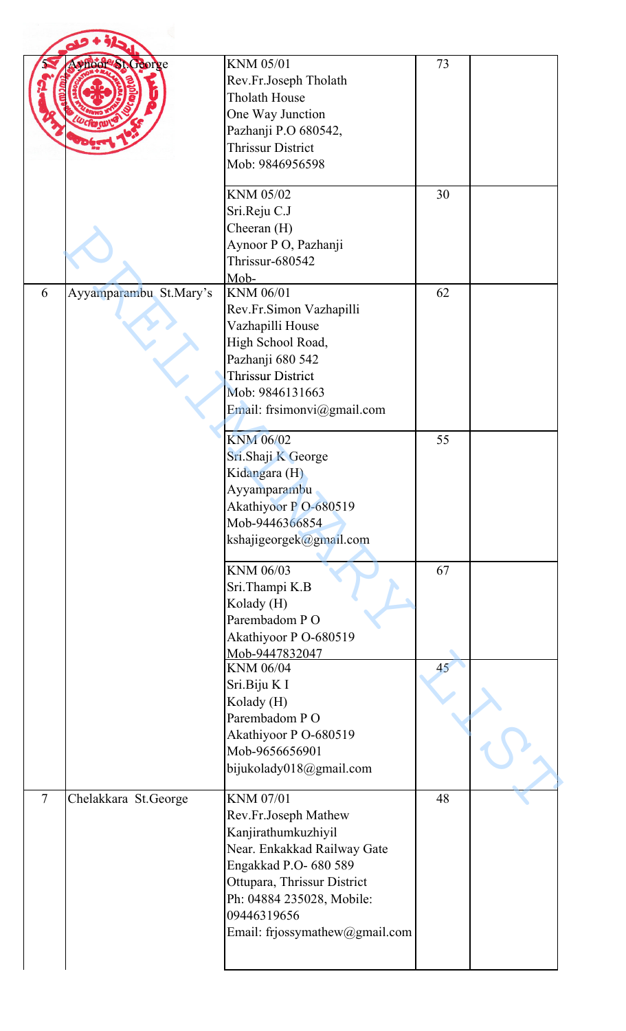| <b>PhooP's Ceorge</b>                  | <b>KNM 05/01</b><br>Rev.Fr.Joseph Tholath<br>Tholath House<br>One Way Junction<br>Pazhanji P.O 680542,<br><b>Thrissur District</b><br>Mob: 9846956598                                                                                | 73       |  |
|----------------------------------------|--------------------------------------------------------------------------------------------------------------------------------------------------------------------------------------------------------------------------------------|----------|--|
|                                        | KNM 05/02<br>Sri.Reju C.J<br>Cheeran (H)<br>Aynoor P O, Pazhanji<br>Thrissur-680542<br>Mob-                                                                                                                                          | 30       |  |
| Ayyamparambu St.Mary's<br>6            | KNM 06/01<br>Rev.Fr.Simon Vazhapilli<br>Vazhapilli House<br>High School Road,<br>Pazhanji 680 542<br><b>Thrissur District</b><br>Mob: 9846131663<br>Email: frsimonvi@gmail.com                                                       | 62       |  |
|                                        | <b>KNM 06/02</b><br>Sri.Shaji K George<br>Kidangara (H)<br>Ayyamparambu<br>Akathiyoor PO-680519<br>Mob-9446366854<br>kshajigeorgek@gmail.com                                                                                         | 55       |  |
|                                        | <b>KNM 06/03</b><br>Sri.Thampi K.B<br>Kolady (H)<br>Parembadom PO<br>Akathiyoor P O-680519<br>Mob-9447832047<br>KNM 06/04                                                                                                            | 67<br>45 |  |
|                                        | Sri.Biju KI<br>Kolady (H)<br>Parembadom PO<br>Akathiyoor P O-680519<br>Mob-9656656901<br>bijukolady018@gmail.com                                                                                                                     |          |  |
| $\overline{7}$<br>Chelakkara St.George | <b>KNM 07/01</b><br>Rev.Fr.Joseph Mathew<br>Kanjirathumkuzhiyil<br>Near. Enkakkad Railway Gate<br>Engakkad P.O- 680 589<br>Ottupara, Thrissur District<br>Ph: 04884 235028, Mobile:<br>09446319656<br>Email: frjossymathew@gmail.com | 48       |  |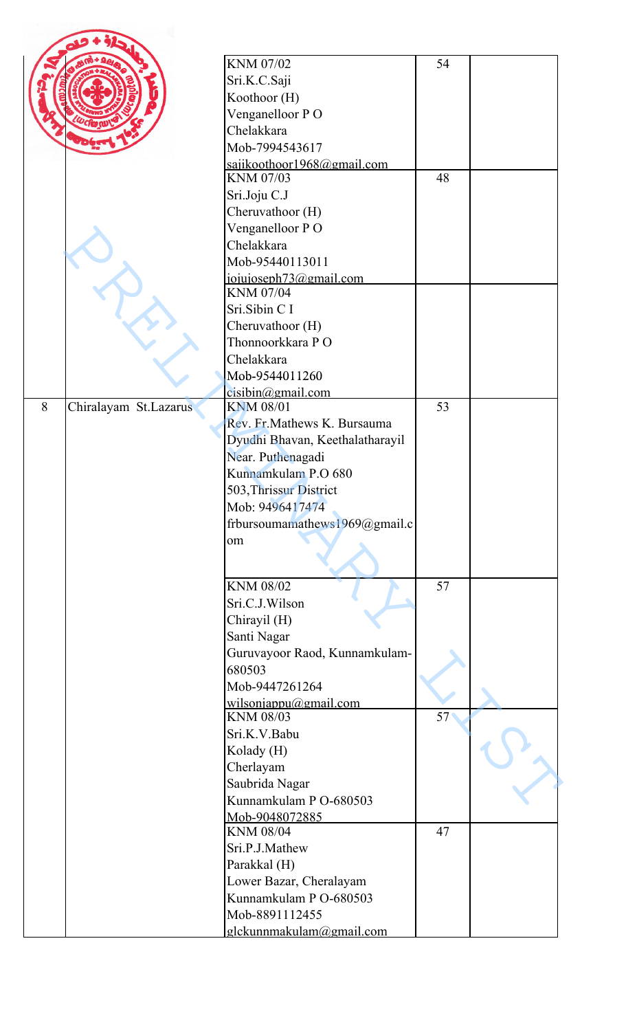|   |                       | KNM 07/02                           | 54 |  |
|---|-----------------------|-------------------------------------|----|--|
|   |                       | Sri.K.C.Saji                        |    |  |
|   |                       | Koothoor (H)                        |    |  |
|   |                       | Venganelloor PO                     |    |  |
|   |                       | Chelakkara                          |    |  |
|   |                       | Mob-7994543617                      |    |  |
|   |                       | sajikoothoor1968@gmail.com          |    |  |
|   |                       | KNM 07/03                           | 48 |  |
|   |                       | Sri.Joju C.J                        |    |  |
|   |                       | Cheruvathoor (H)                    |    |  |
|   |                       | Venganelloor PO                     |    |  |
|   |                       | Chelakkara                          |    |  |
|   |                       | Mob-95440113011                     |    |  |
|   |                       | jojujoseph73@gmail.com<br>KNM 07/04 |    |  |
|   |                       | Sri.Sibin C I                       |    |  |
|   |                       | Cheruvathoor (H)                    |    |  |
|   |                       | Thonnoorkkara PO                    |    |  |
|   |                       | Chelakkara                          |    |  |
|   |                       | Mob-9544011260                      |    |  |
|   |                       | cisibin@gmail.com                   |    |  |
| 8 | Chiralayam St.Lazarus | <b>KNM 08/01</b>                    | 53 |  |
|   |                       | Rev. Fr. Mathews K. Bursauma        |    |  |
|   |                       | Dyudhi Bhavan, Keethalatharayil     |    |  |
|   |                       | Near. Puthenagadi                   |    |  |
|   |                       | Kunnamkulam P.O 680                 |    |  |
|   |                       | 503, Thrissur District              |    |  |
|   |                       | Mob: 9496417474                     |    |  |
|   |                       | frbursoumamathews1969@gmail.c       |    |  |
|   |                       | om                                  |    |  |
|   |                       |                                     |    |  |
|   |                       | KNM 08/02                           | 57 |  |
|   |                       | Sri.C.J.Wilson                      |    |  |
|   |                       | Chirayil (H)                        |    |  |
|   |                       | Santi Nagar                         |    |  |
|   |                       | Guruvayoor Raod, Kunnamkulam-       |    |  |
|   |                       | 680503                              |    |  |
|   |                       | Mob-9447261264                      |    |  |
|   |                       | wilsoniappu@gmail.com<br>KNM 08/03  | 57 |  |
|   |                       | Sri.K.V.Babu                        |    |  |
|   |                       | Kolady (H)                          |    |  |
|   |                       | Cherlayam                           |    |  |
|   |                       | Saubrida Nagar                      |    |  |
|   |                       | Kunnamkulam P O-680503              |    |  |
|   |                       | Mob-9048072885                      |    |  |
|   |                       | <b>KNM 08/04</b>                    | 47 |  |
|   |                       | Sri.P.J.Mathew                      |    |  |
|   |                       | Parakkal (H)                        |    |  |
|   |                       | Lower Bazar, Cheralayam             |    |  |
|   |                       | Kunnamkulam P O-680503              |    |  |
|   |                       | Mob-8891112455                      |    |  |
|   |                       | glckunnmakulam@gmail.com            |    |  |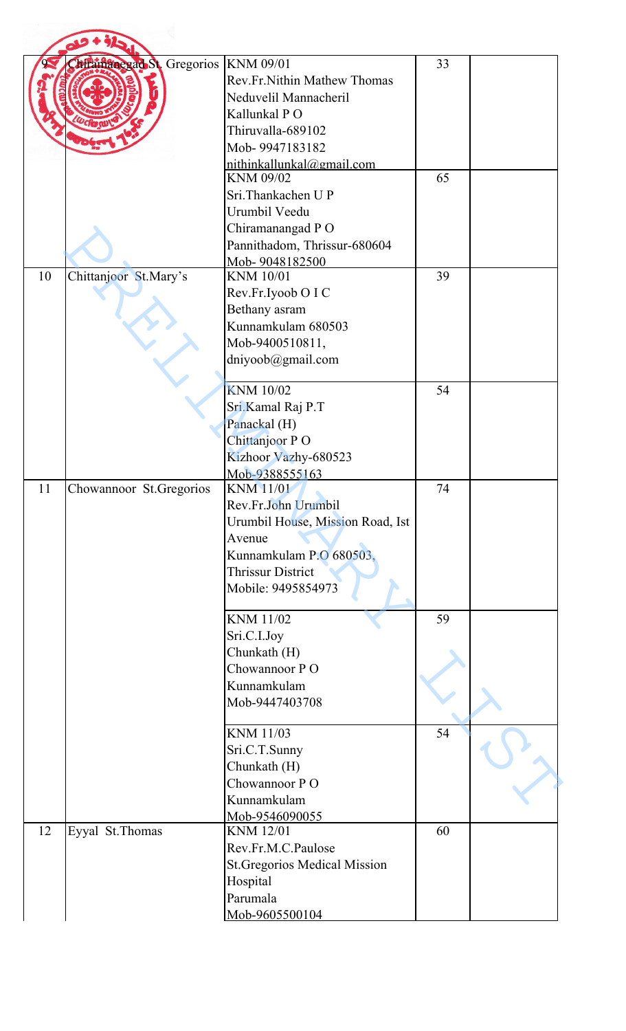|    | Allamanegad St. Gregorios   KNM 09/01 |                                        | 33 |  |
|----|---------------------------------------|----------------------------------------|----|--|
|    |                                       | Rev.Fr.Nithin Mathew Thomas            |    |  |
|    |                                       | Neduvelil Mannacheril                  |    |  |
|    |                                       |                                        |    |  |
|    |                                       | Kallunkal PO                           |    |  |
|    |                                       | Thiruvalla-689102                      |    |  |
|    |                                       | Mob-9947183182                         |    |  |
|    |                                       | nithinkallunkal@gmail.com<br>KNM 09/02 | 65 |  |
|    |                                       |                                        |    |  |
|    |                                       | Sri.Thankachen UP                      |    |  |
|    |                                       | Urumbil Veedu                          |    |  |
|    |                                       | Chiramanangad PO                       |    |  |
|    |                                       | Pannithadom, Thrissur-680604           |    |  |
|    |                                       | Mob-9048182500                         |    |  |
| 10 | Chittanjoor St.Mary's                 | <b>KNM 10/01</b>                       | 39 |  |
|    |                                       | Rev.Fr.Iyoob O I C                     |    |  |
|    |                                       | Bethany asram                          |    |  |
|    |                                       | Kunnamkulam 680503                     |    |  |
|    |                                       | Mob-9400510811,                        |    |  |
|    |                                       | dniyoob@gmail.com                      |    |  |
|    |                                       |                                        |    |  |
|    |                                       | <b>KNM 10/02</b>                       | 54 |  |
|    |                                       | Sri.Kamal Raj P.T                      |    |  |
|    |                                       | Panackal (H)                           |    |  |
|    |                                       | Chittanjoor PO                         |    |  |
|    |                                       | Kizhoor Vazhy-680523                   |    |  |
|    |                                       | Mob-9388555163                         |    |  |
| 11 | Chowannoor St.Gregorios               | <b>KNM 11/01</b>                       | 74 |  |
|    |                                       | Rev.Fr.John Urumbil                    |    |  |
|    |                                       | Urumbil House, Mission Road, Ist       |    |  |
|    |                                       | Avenue                                 |    |  |
|    |                                       | Kunnamkulam P.O 680503,                |    |  |
|    |                                       | <b>Thrissur District</b>               |    |  |
|    |                                       | Mobile: 9495854973                     |    |  |
|    |                                       | <b>KNM 11/02</b>                       | 59 |  |
|    |                                       | Sri.C.I.Joy                            |    |  |
|    |                                       | Chunkath (H)                           |    |  |
|    |                                       | Chowannoor PO                          |    |  |
|    |                                       | Kunnamkulam                            |    |  |
|    |                                       | Mob-9447403708                         |    |  |
|    |                                       |                                        |    |  |
|    |                                       | KNM 11/03                              | 54 |  |
|    |                                       | Sri.C.T.Sunny                          |    |  |
|    |                                       | Chunkath (H)                           |    |  |
|    |                                       | Chowannoor PO                          |    |  |
|    |                                       | Kunnamkulam                            |    |  |
|    |                                       |                                        |    |  |
| 12 | Eyyal St.Thomas                       | Mob-9546090055<br><b>KNM 12/01</b>     | 60 |  |
|    |                                       | Rev.Fr.M.C.Paulose                     |    |  |
|    |                                       |                                        |    |  |
|    |                                       | <b>St. Gregorios Medical Mission</b>   |    |  |
|    |                                       | Hospital<br>Parumala                   |    |  |
|    |                                       |                                        |    |  |
|    |                                       | Mob-9605500104                         |    |  |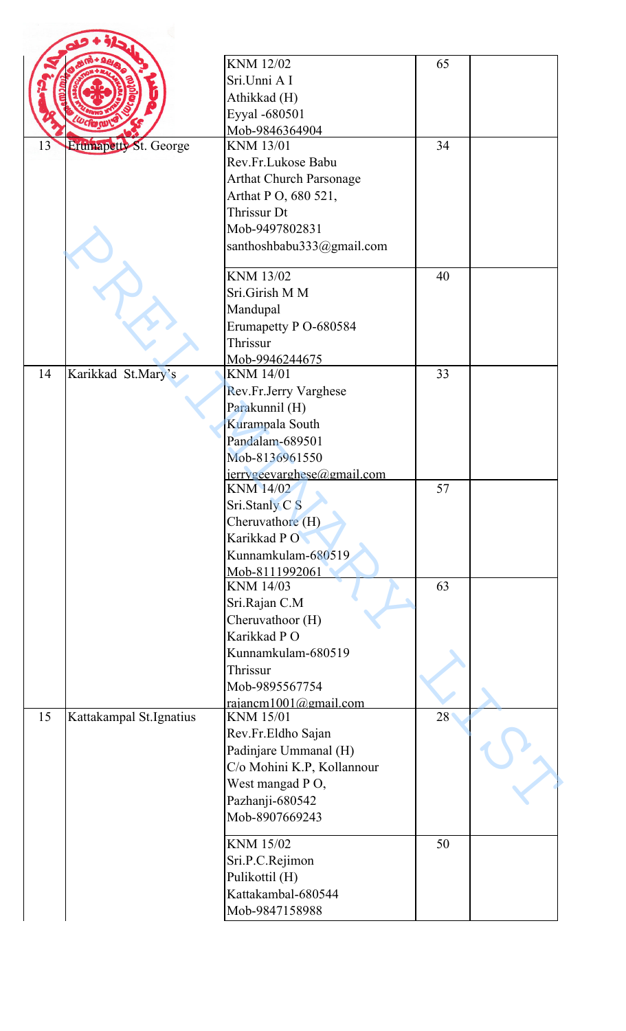|    |                         | <b>KNM 12/02</b>                              | 65 |  |
|----|-------------------------|-----------------------------------------------|----|--|
|    |                         | Sri.Unni A I                                  |    |  |
|    |                         |                                               |    |  |
|    |                         | Athikkad (H)                                  |    |  |
|    |                         | Eyyal -680501                                 |    |  |
|    |                         | Mob-9846364904                                |    |  |
| 13 | Erumapetty St. George   | <b>KNM 13/01</b>                              | 34 |  |
|    |                         | Rev.Fr.Lukose Babu                            |    |  |
|    |                         | <b>Arthat Church Parsonage</b>                |    |  |
|    |                         | Arthat P O, 680 521,                          |    |  |
|    |                         | Thrissur Dt                                   |    |  |
|    |                         | Mob-9497802831                                |    |  |
|    |                         | santhoshbabu333@gmail.com                     |    |  |
|    |                         | KNM 13/02                                     | 40 |  |
|    |                         | Sri.Girish M M                                |    |  |
|    |                         | Mandupal                                      |    |  |
|    |                         | Erumapetty P O-680584                         |    |  |
|    |                         | Thrissur                                      |    |  |
|    |                         | Mob-9946244675                                |    |  |
| 14 | Karikkad St.Mary's      | <b>KNM 14/01</b>                              | 33 |  |
|    |                         | Rev.Fr.Jerry Varghese                         |    |  |
|    |                         | Parakunnil (H)                                |    |  |
|    |                         | Kurampala South                               |    |  |
|    |                         | Pandalam-689501                               |    |  |
|    |                         | Mob-8136961550                                |    |  |
|    |                         | ierveeevarehese@gmail.com<br><b>KNM 14/02</b> | 57 |  |
|    |                         | Sri.Stanly C <sub>S</sub>                     |    |  |
|    |                         | Cheruvathore (H)                              |    |  |
|    |                         | Karikkad PO                                   |    |  |
|    |                         | Kunnamkulam-680519                            |    |  |
|    |                         | Mob-8111992061                                |    |  |
|    |                         | KNM 14/03                                     | 63 |  |
|    |                         | Sri.Rajan C.M                                 |    |  |
|    |                         | Cheruvathoor (H)                              |    |  |
|    |                         | Karikkad PO                                   |    |  |
|    |                         | Kunnamkulam-680519                            |    |  |
|    |                         | Thrissur                                      |    |  |
|    |                         | Mob-9895567754                                |    |  |
|    |                         | rajancm1001@gmail.com                         |    |  |
| 15 | Kattakampal St.Ignatius | <b>KNM 15/01</b>                              | 28 |  |
|    |                         | Rev.Fr.Eldho Sajan                            |    |  |
|    |                         | Padinjare Ummanal (H)                         |    |  |
|    |                         | C/o Mohini K.P, Kollannour                    |    |  |
|    |                         | West mangad PO,                               |    |  |
|    |                         | Pazhanji-680542                               |    |  |
|    |                         | Mob-8907669243                                |    |  |
|    |                         | KNM 15/02                                     | 50 |  |
|    |                         |                                               |    |  |
|    |                         | Sri.P.C.Rejimon                               |    |  |
|    |                         | Pulikottil (H)                                |    |  |
|    |                         | Kattakambal-680544                            |    |  |
|    |                         | Mob-9847158988                                |    |  |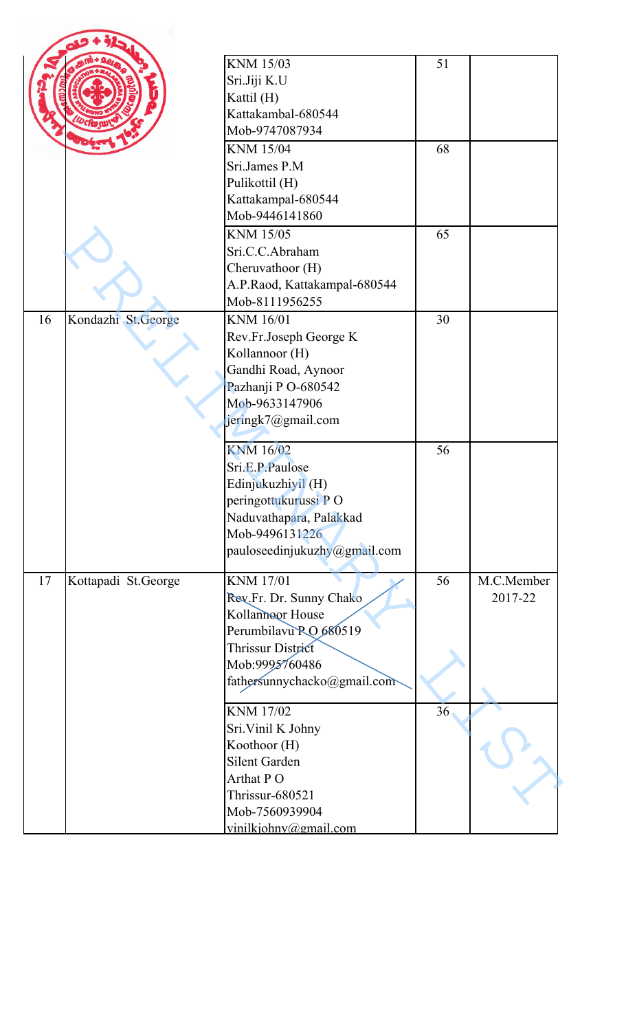|    |                     | KNM 15/03                    | 51 |            |
|----|---------------------|------------------------------|----|------------|
|    |                     | Sri.Jiji K.U                 |    |            |
|    |                     | Kattil (H)                   |    |            |
|    |                     | Kattakambal-680544           |    |            |
|    |                     | Mob-9747087934               |    |            |
|    |                     | <b>KNM 15/04</b>             | 68 |            |
|    |                     | Sri.James P.M                |    |            |
|    |                     | Pulikottil (H)               |    |            |
|    |                     | Kattakampal-680544           |    |            |
|    |                     | Mob-9446141860               |    |            |
|    |                     | <b>KNM 15/05</b>             | 65 |            |
|    |                     | Sri.C.C.Abraham              |    |            |
|    |                     | Cheruvathoor (H)             |    |            |
|    |                     | A.P.Raod, Kattakampal-680544 |    |            |
|    |                     | Mob-8111956255               |    |            |
| 16 | Kondazhi St.George  | <b>KNM 16/01</b>             | 30 |            |
|    |                     | Rev.Fr.Joseph George K       |    |            |
|    |                     | Kollannoor (H)               |    |            |
|    |                     | Gandhi Road, Aynoor          |    |            |
|    |                     | Pazhanji PO-680542           |    |            |
|    |                     | Mob-9633147906               |    |            |
|    |                     | jeringk7@gmail.com           |    |            |
|    |                     | <b>KNM 16/02</b>             | 56 |            |
|    |                     | Sri.E.P.Paulose              |    |            |
|    |                     | Edinjukuzhiyil (H)           |    |            |
|    |                     | peringottukurussi PO         |    |            |
|    |                     | Naduvathapara, Palakkad      |    |            |
|    |                     | Mob-9496131226               |    |            |
|    |                     | pauloseedinjukuzhy@gmail.com |    |            |
| 17 | Kottapadi St.George | <b>KNM 17/01</b>             | 56 | M.C.Member |
|    |                     | Rev.Fr. Dr. Sunny Chako      |    | 2017-22    |
|    |                     | Kollanneor House             |    |            |
|    |                     | Perumbilavu RO 680519        |    |            |
|    |                     | Thrissur District            |    |            |
|    |                     | Mob:9995760486               |    |            |
|    |                     | fathersunnychacko@gmail.com  |    |            |
|    |                     | <b>KNM 17/02</b>             | 36 |            |
|    |                     | Sri. Vinil K Johny           |    |            |
|    |                     | Koothoor (H)                 |    |            |
|    |                     | Silent Garden                |    |            |
|    |                     | Arthat PO                    |    |            |
|    |                     | Thrissur-680521              |    |            |
|    |                     | Mob-7560939904               |    |            |
|    |                     | vinilkiohnv@gmail.com        |    |            |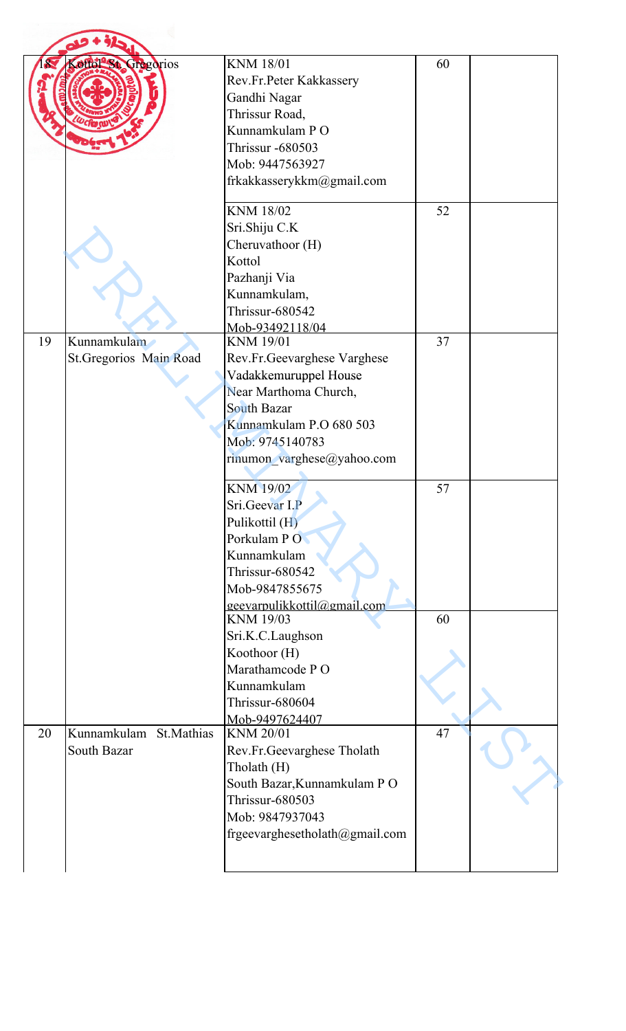|    | ottol St. Gregorios                   | <b>KNM 18/01</b><br>Rev.Fr.Peter Kakkassery<br>Gandhi Nagar<br>Thrissur Road,<br>Kunnamkulam PO<br><b>Thrissur -680503</b><br>Mob: 9447563927<br>frkakkasserykkm@gmail.com                          | 60 |  |
|----|---------------------------------------|-----------------------------------------------------------------------------------------------------------------------------------------------------------------------------------------------------|----|--|
|    |                                       | <b>KNM 18/02</b><br>Sri.Shiju C.K<br>Cheruvathoor (H)<br>Kottol<br>Pazhanji Via<br>Kunnamkulam,<br>Thrissur-680542<br>Mob-93492118/04                                                               | 52 |  |
| 19 | Kunnamkulam<br>St.Gregorios Main Road | <b>KNM 19/01</b><br>Rev.Fr.Geevarghese Varghese<br>Vadakkemuruppel House<br>Near Marthoma Church,<br><b>South Bazar</b><br>Kunnamkulam P.O 680 503<br>Mob: 9745140783<br>rinumon_varghese@yahoo.com | 37 |  |
|    |                                       | <b>KNM 19/02</b><br>Sri.Geevar I.P<br>Pulikottil (H)<br>Porkulam PO<br>Kunnamkulam<br>Thrissur-680542<br>Mob-9847855675<br>geevarpulikkottil@gmail.com                                              | 57 |  |
|    |                                       | KNM 19/03<br>Sri.K.C.Laughson<br>Koothoor (H)<br>Marathamcode PO<br>Kunnamkulam<br>Thrissur-680604<br>Mob-9497624407                                                                                | 60 |  |
| 20 | Kunnamkulam St.Mathias<br>South Bazar | <b>KNM 20/01</b><br>Rev.Fr.Geevarghese Tholath<br>Tholath (H)<br>South Bazar, Kunnamkulam PO<br>Thrissur-680503<br>Mob: 9847937043<br>frgeevarghesetholath@gmail.com                                | 47 |  |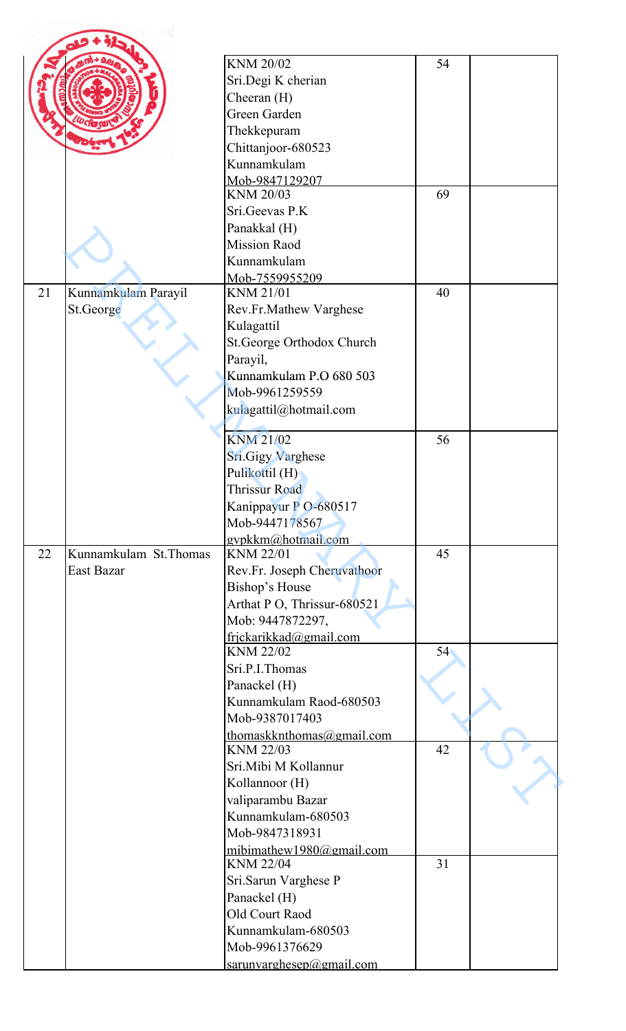|    |                       | KNM 20/02                                    | 54 |  |
|----|-----------------------|----------------------------------------------|----|--|
|    |                       | Sri.Degi K cherian                           |    |  |
|    |                       | Cheeran (H)<br>Green Garden                  |    |  |
|    |                       |                                              |    |  |
|    |                       | Thekkepuram                                  |    |  |
|    |                       | Chittanjoor-680523<br>Kunnamkulam            |    |  |
|    |                       | Mob-9847129207                               |    |  |
|    |                       | KNM 20/03                                    | 69 |  |
|    |                       | Sri.Geevas P.K                               |    |  |
|    |                       | Panakkal (H)                                 |    |  |
|    |                       | <b>Mission Raod</b>                          |    |  |
|    |                       | Kunnamkulam                                  |    |  |
|    |                       | Mob-7559955209                               |    |  |
| 21 | Kunnamkulam Parayil   | KNM 21/01                                    | 40 |  |
|    | St.George             | Rev.Fr.Mathew Varghese                       |    |  |
|    |                       | Kulagattil                                   |    |  |
|    |                       | St.George Orthodox Church                    |    |  |
|    |                       | Parayil,                                     |    |  |
|    |                       | Kunnamkulam P.O 680 503                      |    |  |
|    |                       | Mob-9961259559                               |    |  |
|    |                       | kulagattil@hotmail.com                       |    |  |
|    |                       | <b>KNM 21/02</b>                             | 56 |  |
|    |                       | Sri.Gigy Varghese                            |    |  |
|    |                       | Pulikottil (H)                               |    |  |
|    |                       | <b>Thrissur Road</b>                         |    |  |
|    |                       | Kanippayur P O-680517                        |    |  |
|    |                       | Mob-9447178567                               |    |  |
|    |                       | gypkkm@hotmail.com                           |    |  |
| 22 | Kunnamkulam St.Thomas | <b>KNM 22/01</b>                             | 45 |  |
|    | East Bazar            | Rev.Fr. Joseph Cheruvathoor                  |    |  |
|    |                       | Bishop's House                               |    |  |
|    |                       | Arthat P O, Thrissur-680521                  |    |  |
|    |                       | Mob: 9447872297,                             |    |  |
|    |                       | frjckarikkad@gmail.com<br>KNM 22/02          | 54 |  |
|    |                       | Sri.P.I.Thomas                               |    |  |
|    |                       | Panackel (H)                                 |    |  |
|    |                       | Kunnamkulam Raod-680503                      |    |  |
|    |                       | Mob-9387017403                               |    |  |
|    |                       | thomaskknthomas@gmail.com                    |    |  |
|    |                       | KNM 22/03                                    | 42 |  |
|    |                       | Sri.Mibi M Kollannur                         |    |  |
|    |                       | Kollannoor (H)                               |    |  |
|    |                       | valiparambu Bazar                            |    |  |
|    |                       | Kunnamkulam-680503                           |    |  |
|    |                       | Mob-9847318931                               |    |  |
|    |                       | mibimathew1980@gmail.com<br><b>KNM 22/04</b> | 31 |  |
|    |                       | Sri.Sarun Varghese P                         |    |  |
|    |                       | Panackel (H)                                 |    |  |
|    |                       | Old Court Raod                               |    |  |
|    |                       | Kunnamkulam-680503                           |    |  |
|    |                       | Mob-9961376629                               |    |  |
|    |                       | sarunvarghesep@gmail.com                     |    |  |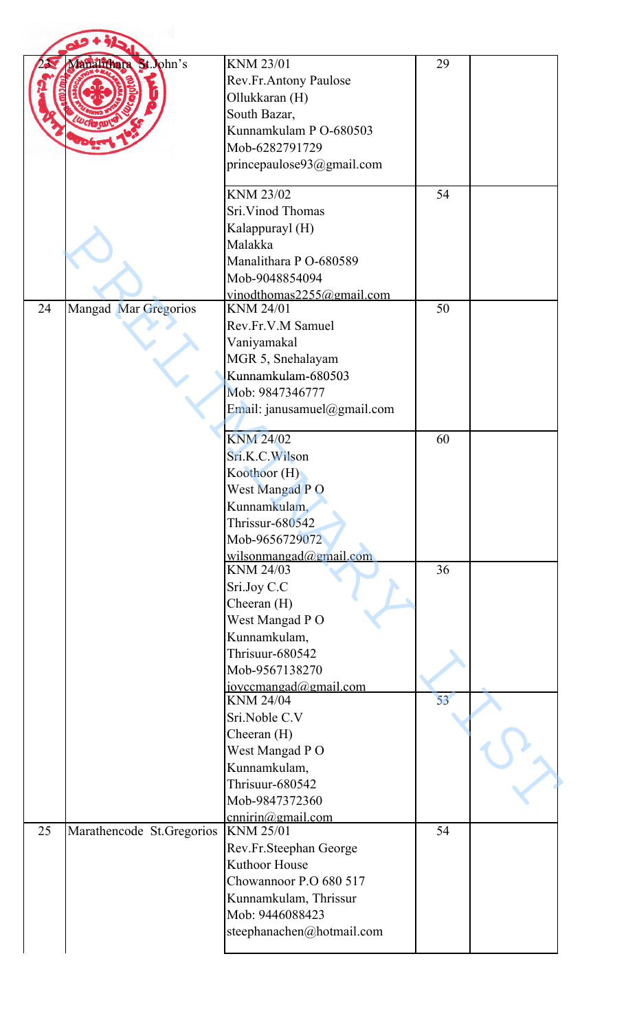|    | Janalifhara St. John's    | <b>KNM 23/01</b><br>Rev.Fr.Antony Paulose<br>Ollukkaran (H)<br>South Bazar,<br>Kunnamkulam P O-680503<br>Mob-6282791729<br>princepaulose93@gmail.com                                | 29 |  |
|----|---------------------------|-------------------------------------------------------------------------------------------------------------------------------------------------------------------------------------|----|--|
|    |                           | KNM 23/02<br>Sri. Vinod Thomas<br>Kalappurayl (H)<br>Malakka<br>Manalithara P O-680589<br>Mob-9048854094<br>vinodthomas $2255@g$ mail.com                                           | 54 |  |
| 24 | Mangad Mar Gregorios      | <b>KNM 24/01</b><br>Rev.Fr.V.M Samuel<br>Vaniyamakal<br>MGR 5, Snehalayam<br>Kunnamkulam-680503<br>Mob: 9847346777<br>Email: janusamuel@gmail.com                                   | 50 |  |
|    |                           | <b>KNM 24/02</b><br>Sri.K.C.Wilson<br>Koothoor (H)<br>West Mangad PO<br>Kunnamkulam,<br>Thrissur-680542<br>Mob-9656729072                                                           | 60 |  |
|    |                           | wilsonmangad@gmail.com<br>KNM 24/03<br>Sri.Joy C.C<br>Cheeran (H)<br>West Mangad PO<br>Kunnamkulam,<br>Thrisuur-680542<br>Mob-9567138270                                            | 36 |  |
|    |                           | iovecmangad@gmail.com<br><b>KNM 24/04</b><br>Sri.Noble C.V<br>Cheeran (H)<br>West Mangad PO<br>Kunnamkulam,<br>Thrisuur-680542<br>Mob-9847372360                                    | 53 |  |
| 25 | Marathencode St.Gregorios | cnnirin@gmail.com<br><b>KNM 25/01</b><br>Rev.Fr.Steephan George<br>Kuthoor House<br>Chowannoor P.O 680 517<br>Kunnamkulam, Thrissur<br>Mob: 9446088423<br>steephanachen@hotmail.com | 54 |  |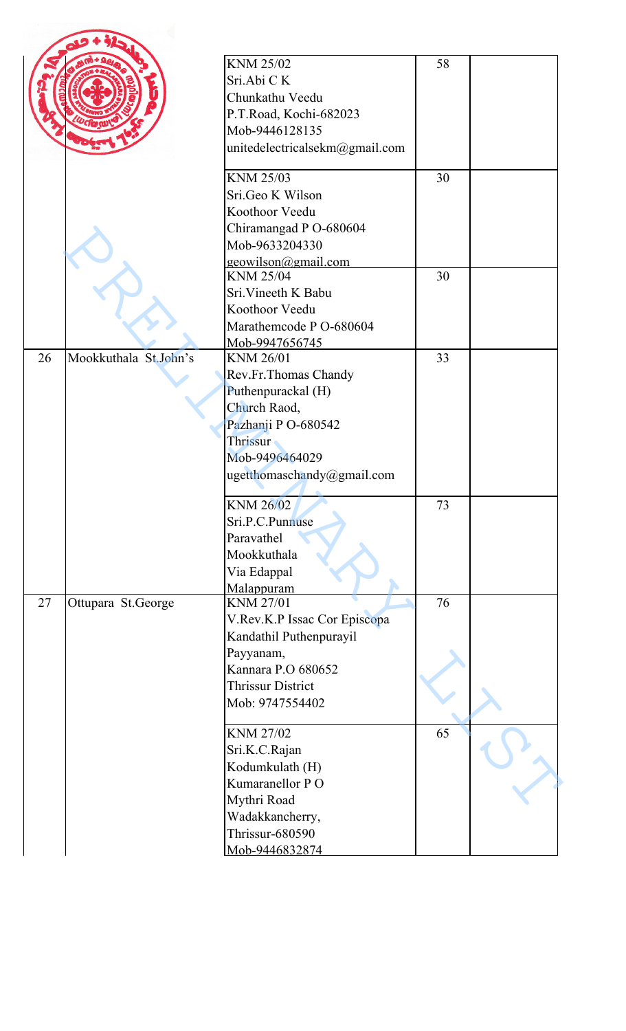|    |                       | <b>KNM 25/02</b><br>Sri.Abi CK<br>Chunkathu Veedu<br>P.T.Road, Kochi-682023<br>Mob-9446128135<br>unitedelectricalsekm@gmail.com                           | 58 |  |
|----|-----------------------|-----------------------------------------------------------------------------------------------------------------------------------------------------------|----|--|
|    |                       | KNM 25/03<br>Sri.Geo K Wilson<br>Koothoor Veedu<br>Chiramangad P O-680604<br>Mob-9633204330<br>geowilson@gmail.com                                        | 30 |  |
|    |                       | KNM 25/04<br>Sri. Vineeth K Babu<br>Koothoor Veedu<br>Marathemcode P O-680604<br>Mob-9947656745                                                           | 30 |  |
| 26 | Mookkuthala St.John's | KNM 26/01<br>Rev.Fr.Thomas Chandy<br>Puthenpurackal (H)<br>Church Raod,<br>Pazhanji PO-680542<br>Thrissur<br>Mob-9496464029<br>ugetthomaschandy@gmail.com | 33 |  |
|    |                       | KNM 26/02<br>Sri.P.C.Punnuse<br>Paravathel<br>Mookkuthala<br>Via Edappal<br>Malappuram                                                                    | 73 |  |
| 27 | Ottupara St.George    | <b>KNM 27/01</b><br>V.Rev.K.P Issac Cor Episcopa<br>Kandathil Puthenpurayil<br>Payyanam,<br>Kannara P.O 680652<br>Thrissur District<br>Mob: 9747554402    | 76 |  |
|    |                       | <b>KNM 27/02</b><br>Sri.K.C.Rajan<br>Kodumkulath (H)<br>Kumaranellor PO<br>Mythri Road<br>Wadakkancherry,<br>Thrissur-680590<br>Mob-9446832874            | 65 |  |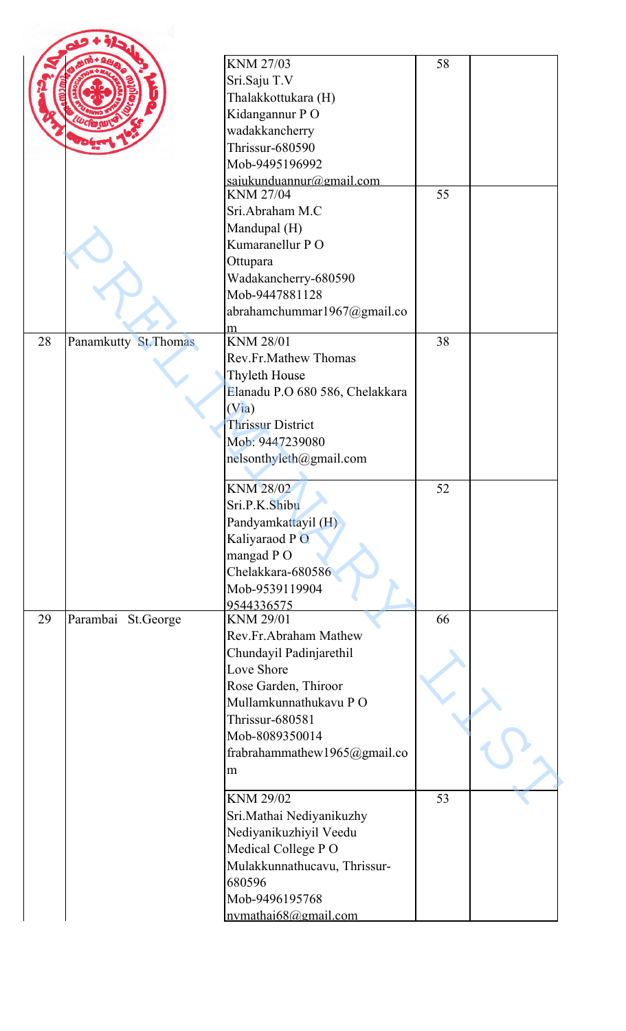| <b>KNM 27/03</b><br>58<br>Sri.Saju T.V<br>Thalakkottukara (H)<br>Kidangannur PO<br>wadakkancherry<br>Thrissur-680590<br>Mob-9495196992<br>sajukunduannur@gmail.com<br><b>KNM 27/04</b><br>55<br>Sri.Abraham M.C<br>Mandupal (H)<br>Kumaranellur PO<br>Ottupara<br>Wadakancherry-680590<br>Mob-9447881128<br>abrahamchummar1967@gmail.co<br>m<br><b>KNM 28/01</b><br>28<br>Panamkutty St. Thomas<br>38<br>Rev.Fr.Mathew Thomas<br>Thyleth House<br>Elanadu P.O 680 586, Chelakkara<br>(Via)<br><b>Thrissur District</b><br>Mob: 9447239080<br>nelsonthyleth@gmail.com<br><b>KNM 28/02</b><br>52<br>Sri.P.K.Shibu<br>Pandyamkattayil (H)<br>Kaliyaraod PO<br>mangad PO<br>Chelakkara-680586<br>Mob-9539119904<br>9544336575<br>Parambai<br><b>KNM 29/01</b><br>66<br>29<br>St.George<br>Rev.Fr.Abraham Mathew<br>Chundayil Padinjarethil<br>Love Shore<br>Rose Garden, Thiroor<br>Mullamkunnathukavu PO<br>Thrissur-680581<br>Mob-8089350014<br>frabrahammathew1965@gmail.co<br>m<br>53<br><b>KNM 29/02</b><br>Sri.Mathai Nediyanikuzhy<br>Nediyanikuzhiyil Veedu<br>Medical College PO<br>Mulakkunnathucavu, Thrissur-<br>680596<br>Mob-9496195768 |  |  |  |
|---------------------------------------------------------------------------------------------------------------------------------------------------------------------------------------------------------------------------------------------------------------------------------------------------------------------------------------------------------------------------------------------------------------------------------------------------------------------------------------------------------------------------------------------------------------------------------------------------------------------------------------------------------------------------------------------------------------------------------------------------------------------------------------------------------------------------------------------------------------------------------------------------------------------------------------------------------------------------------------------------------------------------------------------------------------------------------------------------------------------------------------------------|--|--|--|
|                                                                                                                                                                                                                                                                                                                                                                                                                                                                                                                                                                                                                                                                                                                                                                                                                                                                                                                                                                                                                                                                                                                                                   |  |  |  |
|                                                                                                                                                                                                                                                                                                                                                                                                                                                                                                                                                                                                                                                                                                                                                                                                                                                                                                                                                                                                                                                                                                                                                   |  |  |  |
|                                                                                                                                                                                                                                                                                                                                                                                                                                                                                                                                                                                                                                                                                                                                                                                                                                                                                                                                                                                                                                                                                                                                                   |  |  |  |
|                                                                                                                                                                                                                                                                                                                                                                                                                                                                                                                                                                                                                                                                                                                                                                                                                                                                                                                                                                                                                                                                                                                                                   |  |  |  |
|                                                                                                                                                                                                                                                                                                                                                                                                                                                                                                                                                                                                                                                                                                                                                                                                                                                                                                                                                                                                                                                                                                                                                   |  |  |  |
|                                                                                                                                                                                                                                                                                                                                                                                                                                                                                                                                                                                                                                                                                                                                                                                                                                                                                                                                                                                                                                                                                                                                                   |  |  |  |
|                                                                                                                                                                                                                                                                                                                                                                                                                                                                                                                                                                                                                                                                                                                                                                                                                                                                                                                                                                                                                                                                                                                                                   |  |  |  |
|                                                                                                                                                                                                                                                                                                                                                                                                                                                                                                                                                                                                                                                                                                                                                                                                                                                                                                                                                                                                                                                                                                                                                   |  |  |  |
|                                                                                                                                                                                                                                                                                                                                                                                                                                                                                                                                                                                                                                                                                                                                                                                                                                                                                                                                                                                                                                                                                                                                                   |  |  |  |
|                                                                                                                                                                                                                                                                                                                                                                                                                                                                                                                                                                                                                                                                                                                                                                                                                                                                                                                                                                                                                                                                                                                                                   |  |  |  |
|                                                                                                                                                                                                                                                                                                                                                                                                                                                                                                                                                                                                                                                                                                                                                                                                                                                                                                                                                                                                                                                                                                                                                   |  |  |  |
|                                                                                                                                                                                                                                                                                                                                                                                                                                                                                                                                                                                                                                                                                                                                                                                                                                                                                                                                                                                                                                                                                                                                                   |  |  |  |
|                                                                                                                                                                                                                                                                                                                                                                                                                                                                                                                                                                                                                                                                                                                                                                                                                                                                                                                                                                                                                                                                                                                                                   |  |  |  |
|                                                                                                                                                                                                                                                                                                                                                                                                                                                                                                                                                                                                                                                                                                                                                                                                                                                                                                                                                                                                                                                                                                                                                   |  |  |  |
|                                                                                                                                                                                                                                                                                                                                                                                                                                                                                                                                                                                                                                                                                                                                                                                                                                                                                                                                                                                                                                                                                                                                                   |  |  |  |
|                                                                                                                                                                                                                                                                                                                                                                                                                                                                                                                                                                                                                                                                                                                                                                                                                                                                                                                                                                                                                                                                                                                                                   |  |  |  |
|                                                                                                                                                                                                                                                                                                                                                                                                                                                                                                                                                                                                                                                                                                                                                                                                                                                                                                                                                                                                                                                                                                                                                   |  |  |  |
|                                                                                                                                                                                                                                                                                                                                                                                                                                                                                                                                                                                                                                                                                                                                                                                                                                                                                                                                                                                                                                                                                                                                                   |  |  |  |
|                                                                                                                                                                                                                                                                                                                                                                                                                                                                                                                                                                                                                                                                                                                                                                                                                                                                                                                                                                                                                                                                                                                                                   |  |  |  |
|                                                                                                                                                                                                                                                                                                                                                                                                                                                                                                                                                                                                                                                                                                                                                                                                                                                                                                                                                                                                                                                                                                                                                   |  |  |  |
|                                                                                                                                                                                                                                                                                                                                                                                                                                                                                                                                                                                                                                                                                                                                                                                                                                                                                                                                                                                                                                                                                                                                                   |  |  |  |
|                                                                                                                                                                                                                                                                                                                                                                                                                                                                                                                                                                                                                                                                                                                                                                                                                                                                                                                                                                                                                                                                                                                                                   |  |  |  |
|                                                                                                                                                                                                                                                                                                                                                                                                                                                                                                                                                                                                                                                                                                                                                                                                                                                                                                                                                                                                                                                                                                                                                   |  |  |  |
|                                                                                                                                                                                                                                                                                                                                                                                                                                                                                                                                                                                                                                                                                                                                                                                                                                                                                                                                                                                                                                                                                                                                                   |  |  |  |
|                                                                                                                                                                                                                                                                                                                                                                                                                                                                                                                                                                                                                                                                                                                                                                                                                                                                                                                                                                                                                                                                                                                                                   |  |  |  |
|                                                                                                                                                                                                                                                                                                                                                                                                                                                                                                                                                                                                                                                                                                                                                                                                                                                                                                                                                                                                                                                                                                                                                   |  |  |  |
|                                                                                                                                                                                                                                                                                                                                                                                                                                                                                                                                                                                                                                                                                                                                                                                                                                                                                                                                                                                                                                                                                                                                                   |  |  |  |
|                                                                                                                                                                                                                                                                                                                                                                                                                                                                                                                                                                                                                                                                                                                                                                                                                                                                                                                                                                                                                                                                                                                                                   |  |  |  |
|                                                                                                                                                                                                                                                                                                                                                                                                                                                                                                                                                                                                                                                                                                                                                                                                                                                                                                                                                                                                                                                                                                                                                   |  |  |  |
|                                                                                                                                                                                                                                                                                                                                                                                                                                                                                                                                                                                                                                                                                                                                                                                                                                                                                                                                                                                                                                                                                                                                                   |  |  |  |
|                                                                                                                                                                                                                                                                                                                                                                                                                                                                                                                                                                                                                                                                                                                                                                                                                                                                                                                                                                                                                                                                                                                                                   |  |  |  |
|                                                                                                                                                                                                                                                                                                                                                                                                                                                                                                                                                                                                                                                                                                                                                                                                                                                                                                                                                                                                                                                                                                                                                   |  |  |  |
|                                                                                                                                                                                                                                                                                                                                                                                                                                                                                                                                                                                                                                                                                                                                                                                                                                                                                                                                                                                                                                                                                                                                                   |  |  |  |
|                                                                                                                                                                                                                                                                                                                                                                                                                                                                                                                                                                                                                                                                                                                                                                                                                                                                                                                                                                                                                                                                                                                                                   |  |  |  |
|                                                                                                                                                                                                                                                                                                                                                                                                                                                                                                                                                                                                                                                                                                                                                                                                                                                                                                                                                                                                                                                                                                                                                   |  |  |  |
|                                                                                                                                                                                                                                                                                                                                                                                                                                                                                                                                                                                                                                                                                                                                                                                                                                                                                                                                                                                                                                                                                                                                                   |  |  |  |
|                                                                                                                                                                                                                                                                                                                                                                                                                                                                                                                                                                                                                                                                                                                                                                                                                                                                                                                                                                                                                                                                                                                                                   |  |  |  |
|                                                                                                                                                                                                                                                                                                                                                                                                                                                                                                                                                                                                                                                                                                                                                                                                                                                                                                                                                                                                                                                                                                                                                   |  |  |  |
|                                                                                                                                                                                                                                                                                                                                                                                                                                                                                                                                                                                                                                                                                                                                                                                                                                                                                                                                                                                                                                                                                                                                                   |  |  |  |
|                                                                                                                                                                                                                                                                                                                                                                                                                                                                                                                                                                                                                                                                                                                                                                                                                                                                                                                                                                                                                                                                                                                                                   |  |  |  |
|                                                                                                                                                                                                                                                                                                                                                                                                                                                                                                                                                                                                                                                                                                                                                                                                                                                                                                                                                                                                                                                                                                                                                   |  |  |  |
|                                                                                                                                                                                                                                                                                                                                                                                                                                                                                                                                                                                                                                                                                                                                                                                                                                                                                                                                                                                                                                                                                                                                                   |  |  |  |
|                                                                                                                                                                                                                                                                                                                                                                                                                                                                                                                                                                                                                                                                                                                                                                                                                                                                                                                                                                                                                                                                                                                                                   |  |  |  |
|                                                                                                                                                                                                                                                                                                                                                                                                                                                                                                                                                                                                                                                                                                                                                                                                                                                                                                                                                                                                                                                                                                                                                   |  |  |  |
|                                                                                                                                                                                                                                                                                                                                                                                                                                                                                                                                                                                                                                                                                                                                                                                                                                                                                                                                                                                                                                                                                                                                                   |  |  |  |
|                                                                                                                                                                                                                                                                                                                                                                                                                                                                                                                                                                                                                                                                                                                                                                                                                                                                                                                                                                                                                                                                                                                                                   |  |  |  |
|                                                                                                                                                                                                                                                                                                                                                                                                                                                                                                                                                                                                                                                                                                                                                                                                                                                                                                                                                                                                                                                                                                                                                   |  |  |  |
|                                                                                                                                                                                                                                                                                                                                                                                                                                                                                                                                                                                                                                                                                                                                                                                                                                                                                                                                                                                                                                                                                                                                                   |  |  |  |
|                                                                                                                                                                                                                                                                                                                                                                                                                                                                                                                                                                                                                                                                                                                                                                                                                                                                                                                                                                                                                                                                                                                                                   |  |  |  |
|                                                                                                                                                                                                                                                                                                                                                                                                                                                                                                                                                                                                                                                                                                                                                                                                                                                                                                                                                                                                                                                                                                                                                   |  |  |  |
|                                                                                                                                                                                                                                                                                                                                                                                                                                                                                                                                                                                                                                                                                                                                                                                                                                                                                                                                                                                                                                                                                                                                                   |  |  |  |
|                                                                                                                                                                                                                                                                                                                                                                                                                                                                                                                                                                                                                                                                                                                                                                                                                                                                                                                                                                                                                                                                                                                                                   |  |  |  |
| nvmathai68@gmail.com                                                                                                                                                                                                                                                                                                                                                                                                                                                                                                                                                                                                                                                                                                                                                                                                                                                                                                                                                                                                                                                                                                                              |  |  |  |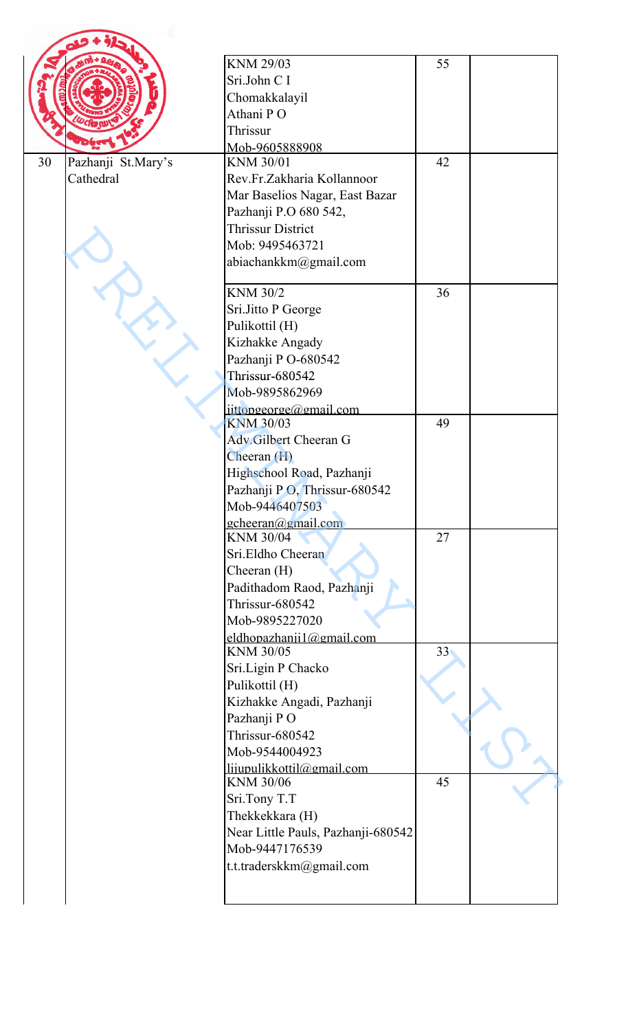|    |                    | <b>KNM 29/03</b>                       | 55              |  |
|----|--------------------|----------------------------------------|-----------------|--|
|    |                    | Sri.John C I                           |                 |  |
|    |                    | Chomakkalayil                          |                 |  |
|    |                    | Athani PO                              |                 |  |
|    |                    |                                        |                 |  |
|    |                    | Thrissur                               |                 |  |
|    |                    | Mob-9605888908                         |                 |  |
| 30 | Pazhanji St.Mary's | <b>KNM 30/01</b>                       | 42              |  |
|    | Cathedral          | Rev.Fr.Zakharia Kollannoor             |                 |  |
|    |                    | Mar Baselios Nagar, East Bazar         |                 |  |
|    |                    | Pazhanji P.O 680 542,                  |                 |  |
|    |                    | <b>Thrissur District</b>               |                 |  |
|    |                    | Mob: 9495463721                        |                 |  |
|    |                    | abiachankkm@gmail.com                  |                 |  |
|    |                    | <b>KNM 30/2</b>                        | 36              |  |
|    |                    | Sri.Jitto P George                     |                 |  |
|    |                    | Pulikottil (H)                         |                 |  |
|    |                    | Kizhakke Angady                        |                 |  |
|    |                    | Pazhanji PO-680542                     |                 |  |
|    |                    | <b>Thrissur-680542</b>                 |                 |  |
|    |                    | Mob-9895862969                         |                 |  |
|    |                    | iittopgeorge@gmail.com                 |                 |  |
|    |                    | <b>KNM 30/03</b>                       | 49              |  |
|    |                    | Adv.Gilbert Cheeran G                  |                 |  |
|    |                    | Cheeran (H)                            |                 |  |
|    |                    | Highschool Road, Pazhanji              |                 |  |
|    |                    | Pazhanji PO, Thrissur-680542           |                 |  |
|    |                    | Mob-9446407503                         |                 |  |
|    |                    | $gcheeran(\omega gmail.com)$           |                 |  |
|    |                    | <b>KNM 30/04</b>                       | 27              |  |
|    |                    | Sri.Eldho Cheeran                      |                 |  |
|    |                    | Cheeran $(H)$                          |                 |  |
|    |                    | Padithadom Raod, Pazhanji              |                 |  |
|    |                    | Thrissur-680542                        |                 |  |
|    |                    | Mob-9895227020                         |                 |  |
|    |                    | eldhopazhanji $1$ @gmail.com           |                 |  |
|    |                    | KNM 30/05                              | 33 <sup>°</sup> |  |
|    |                    | Sri.Ligin P Chacko                     |                 |  |
|    |                    | Pulikottil (H)                         |                 |  |
|    |                    | Kizhakke Angadi, Pazhanji              |                 |  |
|    |                    | Pazhanji PO                            |                 |  |
|    |                    | Thrissur-680542                        |                 |  |
|    |                    |                                        |                 |  |
|    |                    | Mob-9544004923                         |                 |  |
|    |                    | lijupulikkottil@gmail.com<br>KNM 30/06 | 45              |  |
|    |                    | Sri.Tony T.T                           |                 |  |
|    |                    | Thekkekkara (H)                        |                 |  |
|    |                    | Near Little Pauls, Pazhanji-680542     |                 |  |
|    |                    | Mob-9447176539                         |                 |  |
|    |                    |                                        |                 |  |
|    |                    | t.t.traderskkm@gmail.com               |                 |  |
|    |                    |                                        |                 |  |
|    |                    |                                        |                 |  |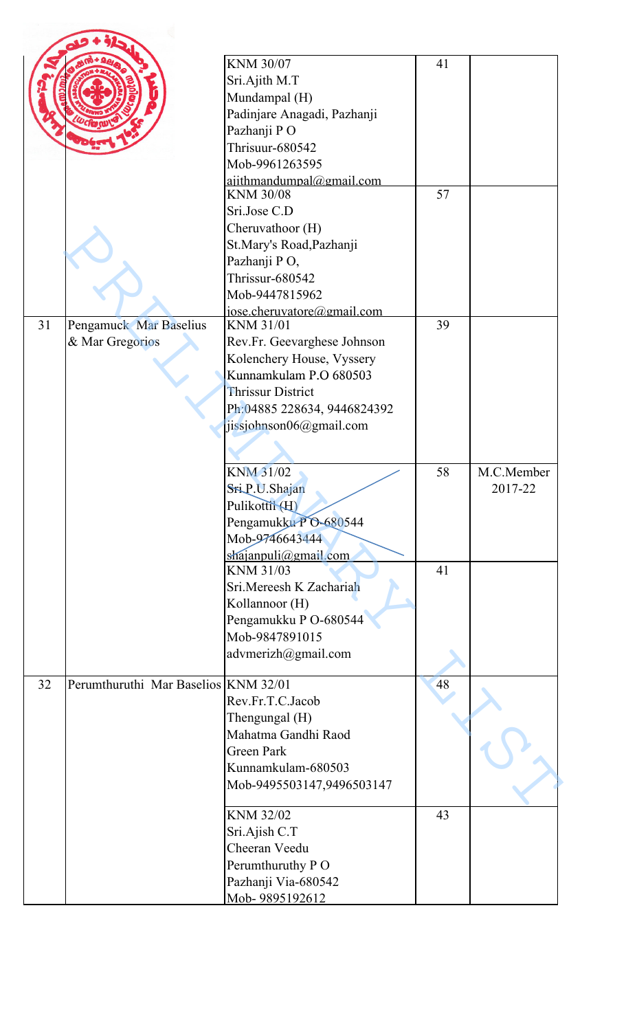|    |                                      | <b>KNM 30/07</b>                             | 41 |            |
|----|--------------------------------------|----------------------------------------------|----|------------|
|    |                                      | Sri.Ajith M.T                                |    |            |
|    |                                      | Mundampal (H)                                |    |            |
|    |                                      | Padinjare Anagadi, Pazhanji                  |    |            |
|    |                                      | Pazhanji PO                                  |    |            |
|    |                                      | Thrisuur-680542                              |    |            |
|    |                                      | Mob-9961263595                               |    |            |
|    |                                      | ajithmandumpal@gmail.com<br><b>KNM 30/08</b> | 57 |            |
|    |                                      | Sri.Jose C.D                                 |    |            |
|    |                                      | Cheruvathoor (H)                             |    |            |
|    |                                      | St.Mary's Road, Pazhanji                     |    |            |
|    |                                      | Pazhanji PO,                                 |    |            |
|    |                                      | Thrissur-680542                              |    |            |
|    |                                      | Mob-9447815962                               |    |            |
|    |                                      | iose.cheruvatore@gmail.com                   |    |            |
| 31 | Pengamuck Mar Baselius               | <b>KNM 31/01</b>                             | 39 |            |
|    | & Mar Gregorios                      | Rev.Fr. Geevarghese Johnson                  |    |            |
|    |                                      | Kolenchery House, Vyssery                    |    |            |
|    |                                      | Kunnamkulam P.O 680503                       |    |            |
|    |                                      | <b>Thrissur District</b>                     |    |            |
|    |                                      | Ph:04885 228634, 9446824392                  |    |            |
|    |                                      | jissjohnson06@gmail.com                      |    |            |
|    |                                      |                                              |    |            |
|    |                                      |                                              |    |            |
|    |                                      | KNM 31/02                                    |    |            |
|    |                                      |                                              | 58 | M.C.Member |
|    |                                      | SriP.U.Shajan                                |    | 2017-22    |
|    |                                      | Pulikottil (H)                               |    |            |
|    |                                      | Pengamukku PO-680544                         |    |            |
|    |                                      | Mob-9746643444                               |    |            |
|    |                                      |                                              |    |            |
|    |                                      | $shajanpuli(\omega gmail.com)$<br>KNM 31/03  | 41 |            |
|    |                                      | Sri.Mereesh K Zachariah                      |    |            |
|    |                                      | Kollannoor (H)                               |    |            |
|    |                                      | Pengamukku P O-680544                        |    |            |
|    |                                      | Mob-9847891015                               |    |            |
|    |                                      | advmerizh@gmail.com                          |    |            |
|    |                                      |                                              |    |            |
| 32 | Perumthuruthi Mar Baselios KNM 32/01 |                                              | 48 |            |
|    |                                      | Rev.Fr.T.C.Jacob                             |    |            |
|    |                                      | Thengungal (H)                               |    |            |
|    |                                      | Mahatma Gandhi Raod                          |    |            |
|    |                                      | <b>Green Park</b>                            |    |            |
|    |                                      | Kunnamkulam-680503                           |    |            |
|    |                                      | Mob-9495503147,9496503147                    |    |            |
|    |                                      | KNM 32/02                                    |    |            |
|    |                                      |                                              | 43 |            |
|    |                                      | Sri.Ajish C.T<br>Cheeran Veedu               |    |            |
|    |                                      |                                              |    |            |
|    |                                      | Perumthuruthy P O<br>Pazhanji Via-680542     |    |            |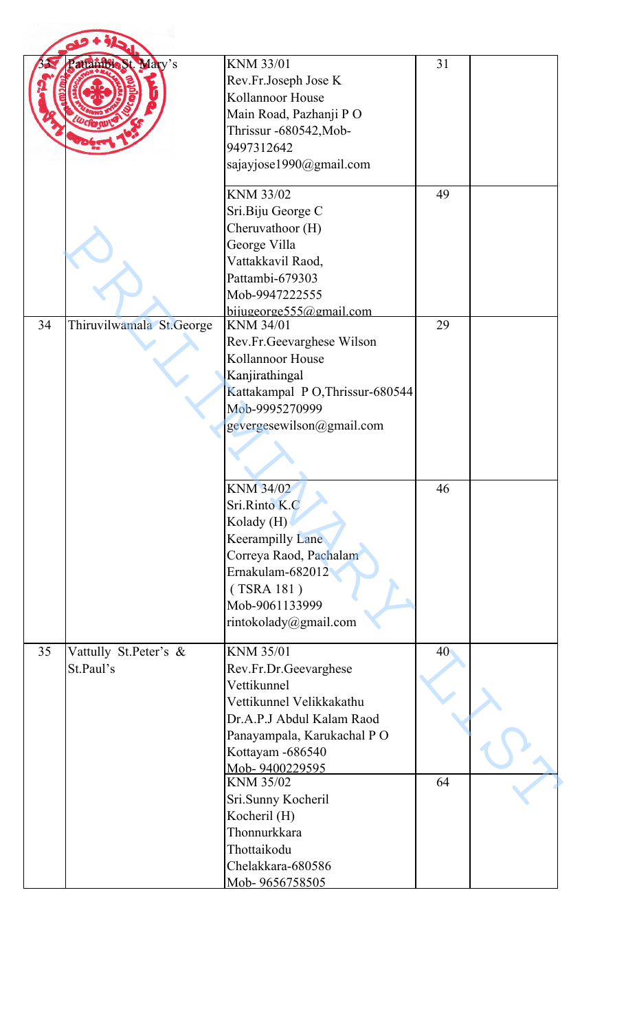|    | atlambie St. Mary's      | KNM 33/01                       | 31 |  |
|----|--------------------------|---------------------------------|----|--|
|    |                          | Rev.Fr.Joseph Jose K            |    |  |
|    |                          | Kollannoor House                |    |  |
|    |                          | Main Road, Pazhanji PO          |    |  |
|    |                          | Thrissur -680542, Mob-          |    |  |
|    |                          | 9497312642                      |    |  |
|    |                          | sajayjose1990@gmail.com         |    |  |
|    |                          |                                 |    |  |
|    |                          | KNM 33/02                       | 49 |  |
|    |                          | Sri.Biju George C               |    |  |
|    |                          | Cheruvathoor (H)                |    |  |
|    |                          | George Villa                    |    |  |
|    |                          | Vattakkavil Raod,               |    |  |
|    |                          | Pattambi-679303                 |    |  |
|    |                          | Mob-9947222555                  |    |  |
|    |                          | bijugeorge555@gmail.com         |    |  |
| 34 | Thiruvilwamala St.George | <b>KNM 34/01</b>                | 29 |  |
|    |                          | Rev.Fr.Geevarghese Wilson       |    |  |
|    |                          | Kollannoor House                |    |  |
|    |                          | Kanjirathingal                  |    |  |
|    |                          | Kattakampal PO, Thrissur-680544 |    |  |
|    |                          | Mob-9995270999                  |    |  |
|    |                          | gevergesewilson@gmail.com       |    |  |
|    |                          |                                 |    |  |
|    |                          |                                 |    |  |
|    |                          | <b>KNM 34/02</b>                | 46 |  |
|    |                          | Sri.Rinto K.C                   |    |  |
|    |                          | Kolady (H)                      |    |  |
|    |                          | <b>Keerampilly Lane</b>         |    |  |
|    |                          | Correya Raod, Pachalam          |    |  |
|    |                          | Ernakulam-682012                |    |  |
|    |                          | (TSRA 181)                      |    |  |
|    |                          | Mob-9061133999                  |    |  |
|    |                          | rintokolady@gmail.com           |    |  |
|    |                          |                                 |    |  |
| 35 | Vattully St.Peter's &    | <b>KNM 35/01</b>                | 40 |  |
|    | St.Paul's                | Rev.Fr.Dr.Geevarghese           |    |  |
|    |                          | Vettikunnel                     |    |  |
|    |                          | Vettikunnel Velikkakathu        |    |  |
|    |                          | Dr.A.P.J Abdul Kalam Raod       |    |  |
|    |                          | Panayampala, Karukachal PO      |    |  |
|    |                          | Kottayam -686540                |    |  |
|    |                          | Mob-9400229595                  |    |  |
|    |                          | <b>KNM 35/02</b>                | 64 |  |
|    |                          | Sri.Sunny Kocheril              |    |  |
|    |                          | Kocheril (H)                    |    |  |
|    |                          | Thonnurkkara                    |    |  |
|    |                          | Thottaikodu                     |    |  |
|    |                          | Chelakkara-680586               |    |  |
|    |                          | Mob-9656758505                  |    |  |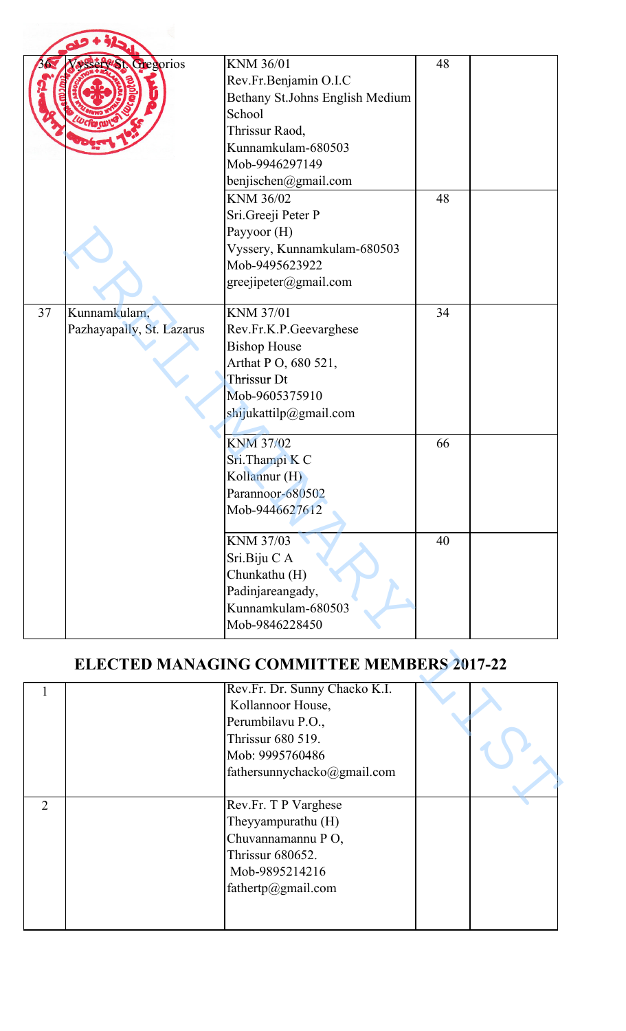|               | served Gregorios                          | KNM 36/01<br>Rev.Fr.Benjamin O.I.C<br>Bethany St.Johns English Medium<br>School<br>Thrissur Raod,<br>Kunnamkulam-680503<br>Mob-9946297149<br>benjischen@gmail.com<br>KNM 36/02<br>Sri.Greeji Peter P<br>Payyoor (H)<br>Vyssery, Kunnamkulam-680503 | 48<br>48 |  |
|---------------|-------------------------------------------|----------------------------------------------------------------------------------------------------------------------------------------------------------------------------------------------------------------------------------------------------|----------|--|
|               |                                           | Mob-9495623922<br>greejipeter@gmail.com                                                                                                                                                                                                            |          |  |
| 37            | Kunnamkulam,<br>Pazhayapally, St. Lazarus | <b>KNM 37/01</b><br>Rev.Fr.K.P.Geevarghese<br><b>Bishop House</b><br>Arthat P O, 680 521,<br>Thrissur Dt<br>Mob-9605375910<br>shijukattilp@gmail.com                                                                                               | 34       |  |
|               |                                           | <b>KNM 37/02</b><br>Sri.Thampi K C<br>Kollannur (H)<br>Parannoor-680502<br>Mob-9446627612                                                                                                                                                          | 66       |  |
|               |                                           | <b>KNM 37/03</b><br>Sri.Biju C A<br>Chunkathu (H)<br>Padinjareangady,<br>Kunnamkulam-680503<br>Mob-9846228450                                                                                                                                      | 40       |  |
|               |                                           | <b>ELECTED MANAGING COMMITTEE MEMBERS 2017-22</b>                                                                                                                                                                                                  |          |  |
| 1             |                                           | Rev.Fr. Dr. Sunny Chacko K.I.<br>Kollannoor House,<br>Perumbilavu P.O.,<br>Thrissur 680 519.<br>Mob: 9995760486<br>fathersunnychacko@gmail.com                                                                                                     |          |  |
| $\mathcal{D}$ |                                           | Rev.Fr. T P Varghese                                                                                                                                                                                                                               |          |  |

## **ELECTED MANAGING COMMITTEE MEMBERS 2017-22**

|                | Rev.Fr. Dr. Sunny Chacko K.I.<br>Kollannoor House,<br>Perumbilavu P.O.,<br>Thrissur 680 519.<br>Mob: 9995760486<br>fathersunnychacko@gmail.com |  |
|----------------|------------------------------------------------------------------------------------------------------------------------------------------------|--|
| $\mathfrak{D}$ | Rev.Fr. T P Varghese<br>Theyyampurathu (H)<br>Chuvannamannu PO,<br>Thrissur 680652.<br>Mob-9895214216<br>fathertp@gmail.com                    |  |